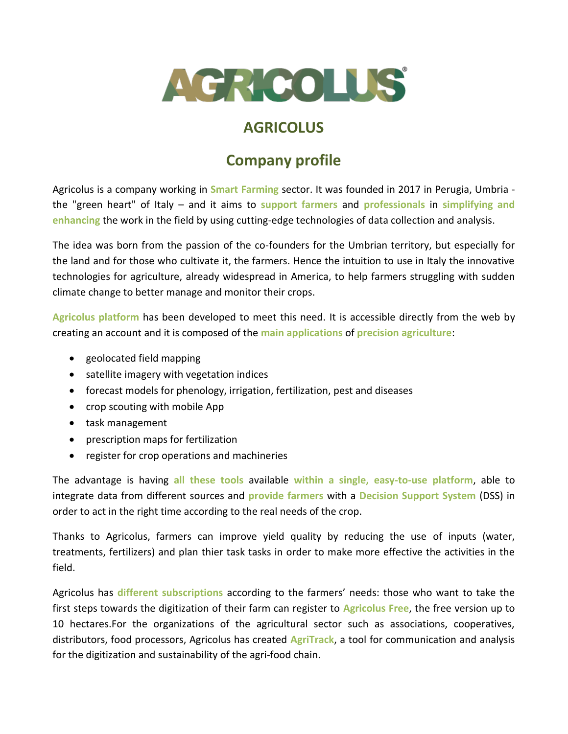

## **AGRICOLUS**

## **Company profile**

Agricolus is a company working in **Smart Farming** sector. It was founded in 2017 in Perugia, Umbria the "green heart" of Italy – and it aims to **support farmers** and **professionals** in **simplifying and enhancing** the work in the field by using cutting-edge technologies of data collection and analysis.

The idea was born from the passion of the co-founders for the Umbrian territory, but especially for the land and for those who cultivate it, the farmers. Hence the intuition to use in Italy the innovative technologies for agriculture, already widespread in America, to help farmers struggling with sudden climate change to better manage and monitor their crops.

**Agricolus platform** has been developed to meet this need. It is accessible directly from the web by creating an account and it is composed of the **main applications** of **precision agriculture**:

- geolocated field mapping
- satellite imagery with vegetation indices
- forecast models for phenology, irrigation, fertilization, pest and diseases
- crop scouting with mobile App
- task management
- prescription maps for fertilization
- register for crop operations and machineries

The advantage is having **all these tools** available **within a single, easy-to-use platform**, able to integrate data from different sources and **provide farmers** with a **Decision Support System** (DSS) in order to act in the right time according to the real needs of the crop.

Thanks to Agricolus, farmers can improve yield quality by reducing the use of inputs (water, treatments, fertilizers) and plan thier task tasks in order to make more effective the activities in the field.

Agricolus has **different subscriptions** according to the farmers' needs: those who want to take the first steps towards the digitization of their farm can register to **Agricolus Free**, the free version up to 10 hectares.For the organizations of the agricultural sector such as associations, cooperatives, distributors, food processors, Agricolus has created **AgriTrack**, a tool for communication and analysis for the digitization and sustainability of the agri-food chain.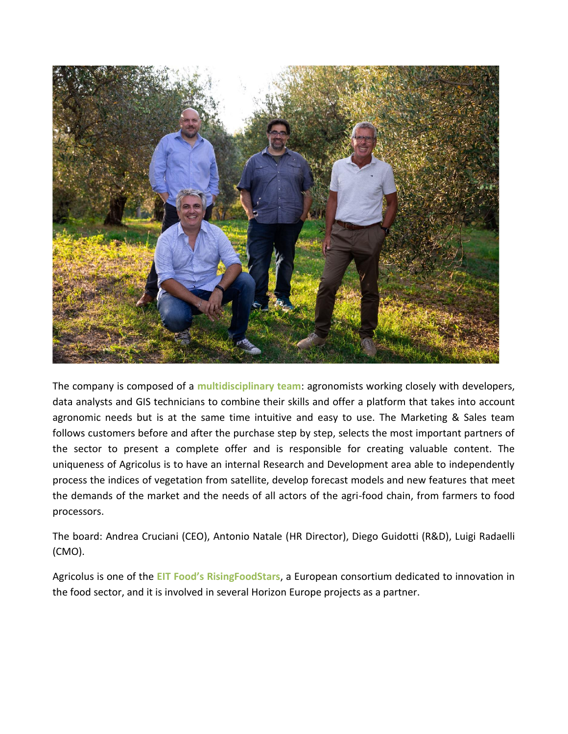

The company is composed of a **multidisciplinary team**: agronomists working closely with developers, data analysts and GIS technicians to combine their skills and offer a platform that takes into account agronomic needs but is at the same time intuitive and easy to use. The Marketing & Sales team follows customers before and after the purchase step by step, selects the most important partners of the sector to present a complete offer and is responsible for creating valuable content. The uniqueness of Agricolus is to have an internal Research and Development area able to independently process the indices of vegetation from satellite, develop forecast models and new features that meet the demands of the market and the needs of all actors of the agri-food chain, from farmers to food processors.

The board: Andrea Cruciani (CEO), Antonio Natale (HR Director), Diego Guidotti (R&D), Luigi Radaelli (CMO).

Agricolus is one of the **EIT Food's RisingFoodStars**, a European consortium dedicated to innovation in the food sector, and it is involved in several Horizon Europe projects as a partner.